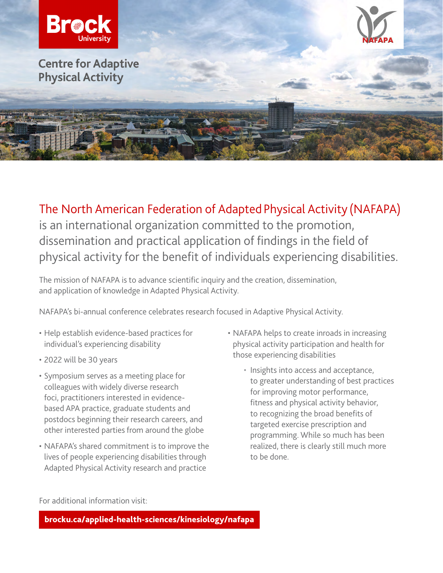

The North American Federation of Adapted Physical Activity (NAFAPA) is an international organization committed to the promotion, dissemination and practical application of findings in the field of physical activity for the benefit of individuals experiencing disabilities.

The mission of NAFAPA is to advance scientific inquiry and the creation, dissemination, and application of knowledge in Adapted Physical Activity.

NAFAPA's bi-annual conference celebrates research focused in Adaptive Physical Activity.

- Help establish evidence-based practices for individual's experiencing disability
- 2022 will be 30 years
- foci, practitioners interested in evidence-• Symposium serves as a meeting place for colleagues with widely diverse research based APA practice, graduate students and postdocs beginning their research careers, and other interested parties from around the globe
- NAFAPA's shared commitment is to improve the lives of people experiencing disabilities through Adapted Physical Activity research and practice
- NAFAPA helps to create inroads in increasing physical activity participation and health for those experiencing disabilities
	- Insights into access and acceptance, to greater understanding of best practices for improving motor performance, fitness and physical activity behavior, to recognizing the broad benefits of targeted exercise prescription and programming. While so much has been realized, there is clearly still much more to be done.

For additional information visit:

[brocku.ca/applied-health-sciences/kinesiology/nafapa](http://brocku.ca/applied-health-sciences/kinesiology/nafapa)